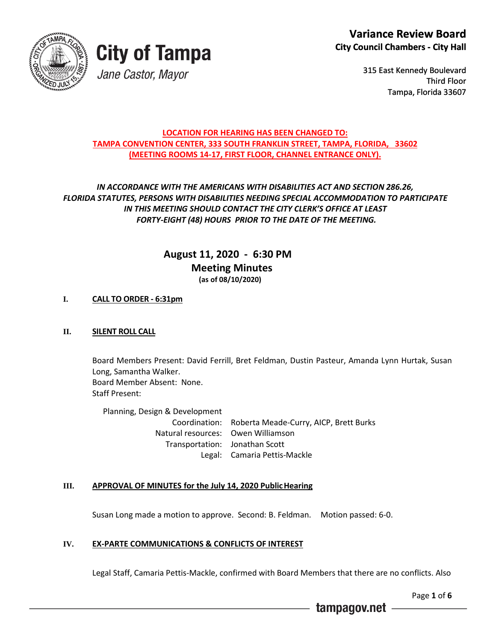



315 East Kennedy Boulevard Third Floor Tampa, Florida 33607

#### **LOCATION FOR HEARING HAS BEEN CHANGED TO: TAMPA CONVENTION CENTER, 333 SOUTH FRANKLIN STREET, TAMPA, FLORIDA, 33602 (MEETING ROOMS 14-17, FIRST FLOOR, CHANNEL ENTRANCE ONLY).**

## *IN ACCORDANCE WITH THE AMERICANS WITH DISABILITIES ACT AND SECTION 286.26, FLORIDA STATUTES, PERSONS WITH DISABILITIES NEEDING SPECIAL ACCOMMODATION TO PARTICIPATE IN THIS MEETING SHOULD CONTACT THE CITY CLERK'S OFFICE AT LEAST FORTY-EIGHT (48) HOURS PRIOR TO THE DATE OF THE MEETING.*

## **August 11, 2020 - 6:30 PM Meeting Minutes (as of 08/10/2020)**

## **I. CALL TO ORDER - 6:31pm**

### **II. SILENT ROLL CALL**

Board Members Present: David Ferrill, Bret Feldman, Dustin Pasteur, Amanda Lynn Hurtak, Susan Long, Samantha Walker. Board Member Absent: None. Staff Present:

Planning, Design & Development Coordination: Roberta Meade-Curry, AICP, Brett Burks Natural resources: Owen Williamson Transportation: Jonathan Scott Legal: Camaria Pettis-Mackle

### **III. APPROVAL OF MINUTES for the July 14, 2020 PublicHearing**

Susan Long made a motion to approve. Second: B. Feldman. Motion passed: 6-0.

### **IV. EX-PARTE COMMUNICATIONS & CONFLICTS OF INTEREST**

Legal Staff, Camaria Pettis-Mackle, confirmed with Board Members that there are no conflicts. Also

Page **1** of **6**

tampagov.net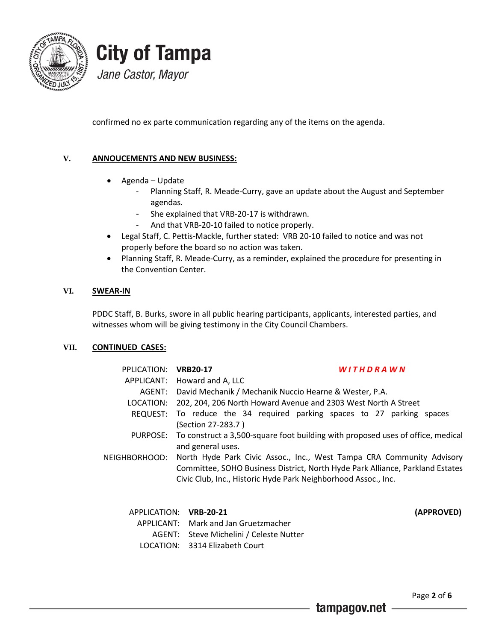

# **City of Tampa** Jane Castor, Mayor

confirmed no ex parte communication regarding any of the items on the agenda.

### **V. ANNOUCEMENTS AND NEW BUSINESS:**

- Agenda Update
	- Planning Staff, R. Meade-Curry, gave an update about the August and September agendas.
	- She explained that VRB-20-17 is withdrawn.
	- And that VRB-20-10 failed to notice properly.
- Legal Staff, C. Pettis-Mackle, further stated: VRB 20-10 failed to notice and was not properly before the board so no action was taken.
- Planning Staff, R. Meade-Curry, as a reminder, explained the procedure for presenting in the Convention Center.

#### **VI. SWEAR-IN**

PDDC Staff, B. Burks, swore in all public hearing participants, applicants, interested parties, and witnesses whom will be giving testimony in the City Council Chambers.

#### **VII. CONTINUED CASES:**

| PPLICATION:   | <b>VRB20-17</b>                                                                                                                                                                                                          |                                                                | <b>WITHDRAWN</b>                                                                |            |
|---------------|--------------------------------------------------------------------------------------------------------------------------------------------------------------------------------------------------------------------------|----------------------------------------------------------------|---------------------------------------------------------------------------------|------------|
|               | APPLICANT: Howard and A, LLC                                                                                                                                                                                             |                                                                |                                                                                 |            |
|               |                                                                                                                                                                                                                          | AGENT: David Mechanik / Mechanik Nuccio Hearne & Wester, P.A.  |                                                                                 |            |
| LOCATION:     |                                                                                                                                                                                                                          | 202, 204, 206 North Howard Avenue and 2303 West North A Street |                                                                                 |            |
| REQUEST:      | (Section 27-283.7)                                                                                                                                                                                                       |                                                                | To reduce the 34 required parking spaces to 27 parking spaces                   |            |
| PURPOSE:      | and general uses.                                                                                                                                                                                                        |                                                                | To construct a 3,500-square foot building with proposed uses of office, medical |            |
| NEIGHBORHOOD: | North Hyde Park Civic Assoc., Inc., West Tampa CRA Community Advisory<br>Committee, SOHO Business District, North Hyde Park Alliance, Parkland Estates<br>Civic Club, Inc., Historic Hyde Park Neighborhood Assoc., Inc. |                                                                |                                                                                 |            |
| APPLICATION:  | <b>VRB-20-21</b>                                                                                                                                                                                                         |                                                                |                                                                                 | (APPROVED) |
|               | APPLICANT: Mark and Jan Gruetzmacher                                                                                                                                                                                     |                                                                |                                                                                 |            |
|               | AGENT: Steve Michelini / Celeste Nutter                                                                                                                                                                                  |                                                                |                                                                                 |            |
| LOCATION:     | 3314 Elizabeth Court                                                                                                                                                                                                     |                                                                |                                                                                 |            |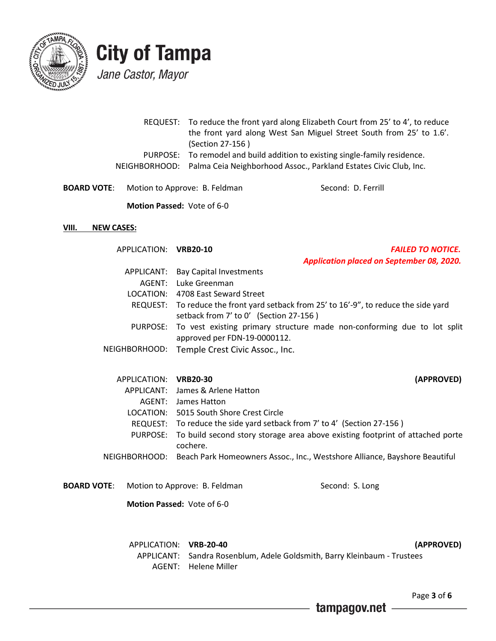

## **City of Tampa** Jane Castor, Mayor

|  | REQUEST: To reduce the front yard along Elizabeth Court from 25' to 4', to reduce |
|--|-----------------------------------------------------------------------------------|
|  | the front yard along West San Miguel Street South from 25' to 1.6'.               |
|  | (Section 27-156)                                                                  |
|  | PURPOSE: To remodel and build addition to existing single-family residence.       |
|  | NEIGHBORHOOD: Palma Ceia Neighborhood Assoc., Parkland Estates Civic Club, Inc.   |
|  |                                                                                   |

**BOARD VOTE:** Motion to Approve: B. Feldman Second: D. Ferrill

 **Motion Passed:** Vote of 6-0

#### **VIII. NEW CASES:**

APPLICATION: VRB20-10

| <b>VRB20-10</b> | <b>FAILED TO NOTICE.</b>                         |  |
|-----------------|--------------------------------------------------|--|
|                 | <b>Application placed on September 08, 2020.</b> |  |

| APPLICANT: Bay Capital Investments                                                    |
|---------------------------------------------------------------------------------------|
| AGENT: Luke Greenman                                                                  |
| LOCATION: 4708 East Seward Street                                                     |
| REQUEST: To reduce the front yard setback from 25' to 16'-9", to reduce the side yard |
| setback from 7' to 0' (Section 27-156)                                                |
| PURPOSE: To vest existing primary structure made non-conforming due to lot split      |
| approved per FDN-19-0000112.                                                          |
| NEIGHBORHOOD: Temple Crest Civic Assoc., Inc.                                         |

| APPLICATION: VRB20-30 | (APPROVED)                                                                               |
|-----------------------|------------------------------------------------------------------------------------------|
|                       | APPLICANT: James & Arlene Hatton                                                         |
|                       | AGENT: James Hatton                                                                      |
|                       | LOCATION: 5015 South Shore Crest Circle                                                  |
|                       | REQUEST: To reduce the side yard setback from 7' to 4' (Section 27-156)                  |
|                       | PURPOSE: To build second story storage area above existing footprint of attached porte   |
|                       | cochere.                                                                                 |
|                       | NEIGHBORHOOD: Beach Park Homeowners Assoc., Inc., Westshore Alliance, Bayshore Beautiful |

- 
- **BOARD VOTE:** Motion to Approve: B. Feldman Second: S. Long

 **Motion Passed:** Vote of 6-0

APPLICATION: **VRB-20-40 (APPROVED)** APPLICANT: Sandra Rosenblum, Adele Goldsmith, Barry Kleinbaum - Trustees AGENT: Helene Miller

Page **3** of **6**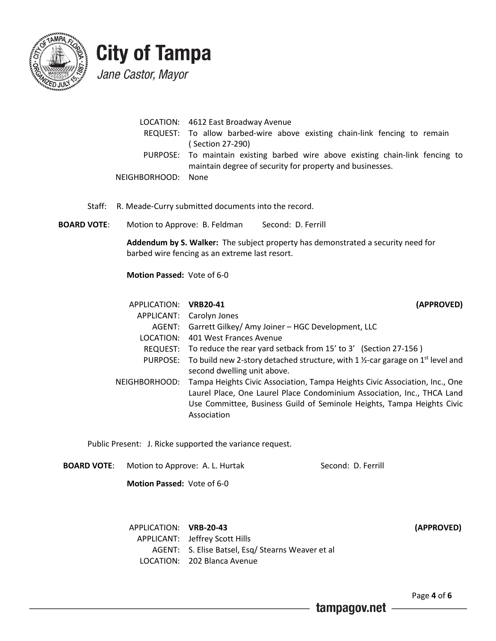

# **City of Tampa**

Jane Castor, Mayor

|                    | LOCATION: 4612 East Broadway Avenue<br>REQUEST: To allow barbed-wire above existing chain-link fencing to remain<br>(Section 27-290)       |
|--------------------|--------------------------------------------------------------------------------------------------------------------------------------------|
|                    | PURPOSE: To maintain existing barbed wire above existing chain-link fencing to<br>maintain degree of security for property and businesses. |
| NEIGHBORHOOD: None |                                                                                                                                            |

Staff: R. Meade-Curry submitted documents into the record.

**BOARD VOTE:** Motion to Approve: B. Feldman Second: D. Ferrill

**Addendum by S. Walker:** The subject property has demonstrated a security need for barbed wire fencing as an extreme last resort.

**Motion Passed:** Vote of 6-0

| APPLICATION: VRB20-41 | (APPROVED)                                                                                                      |
|-----------------------|-----------------------------------------------------------------------------------------------------------------|
|                       | APPLICANT: Carolyn Jones                                                                                        |
|                       | AGENT: Garrett Gilkey/ Amy Joiner - HGC Development, LLC                                                        |
|                       | LOCATION: 401 West Frances Avenue                                                                               |
|                       | REQUEST: To reduce the rear yard setback from 15' to 3' (Section 27-156)                                        |
|                       | PURPOSE: To build new 2-story detached structure, with 1 $\frac{1}{2}$ -car garage on 1 <sup>st</sup> level and |
|                       | second dwelling unit above.                                                                                     |
|                       | NEIGHBORHOOD: Tampa Heights Civic Association, Tampa Heights Civic Association, Inc., One                       |
|                       | Laurel Place, One Laurel Place Condominium Association, Inc., THCA Land                                         |
|                       | Use Committee, Business Guild of Seminole Heights, Tampa Heights Civic                                          |
|                       | Association                                                                                                     |

Public Present: J. Ricke supported the variance request.

**BOARD VOTE:** Motion to Approve: A. L. Hurtak Second: D. Ferrill

 **Motion Passed:** Vote of 6-0

APPLICATION: **VRB-20-43 (APPROVED)** APPLICANT: Jeffrey Scott Hills AGENT: S. Elise Batsel, Esq/ Stearns Weaver et al LOCATION: 202 Blanca Avenue

Page **4** of **6**

tampagov.net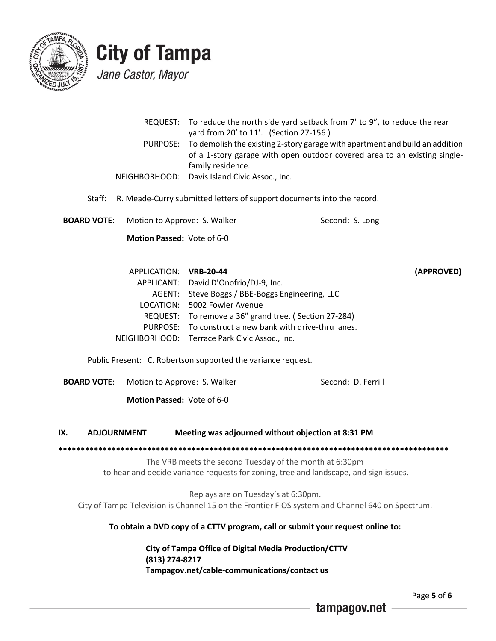

# **City of Tampa** Jane Castor, Mayor

|               |                                   | yard from 20' to 11'. (Section 27-156)                                 | REQUEST: To reduce the north side yard setback from 7' to 9", to reduce the rear                                                                                   |
|---------------|-----------------------------------|------------------------------------------------------------------------|--------------------------------------------------------------------------------------------------------------------------------------------------------------------|
|               |                                   | family residence.                                                      | PURPOSE: To demolish the existing 2-story garage with apartment and build an addition<br>of a 1-story garage with open outdoor covered area to an existing single- |
|               |                                   | NEIGHBORHOOD: Davis Island Civic Assoc., Inc.                          |                                                                                                                                                                    |
| Staff:        |                                   | R. Meade-Curry submitted letters of support documents into the record. |                                                                                                                                                                    |
| BOARD VOTE: I | Motion to Approve: S. Walker      |                                                                        | Second: S. Long                                                                                                                                                    |
|               | <b>Motion Passed: Vote of 6-0</b> |                                                                        |                                                                                                                                                                    |
|               | $ADDIICATIONI$ , $YDD$ 20 $AB$    |                                                                        | $\lambda$                                                                                                                                                          |

| APPLICATION: VRB-20-44 |                                                         | (APPROVED) |
|------------------------|---------------------------------------------------------|------------|
|                        | APPLICANT: David D'Onofrio/DJ-9, Inc.                   |            |
|                        | AGENT: Steve Boggs / BBE-Boggs Engineering, LLC         |            |
|                        | LOCATION: 5002 Fowler Avenue                            |            |
|                        | REQUEST: To remove a 36" grand tree. (Section 27-284)   |            |
|                        | PURPOSE: To construct a new bank with drive-thru lanes. |            |
|                        | NEIGHBORHOOD: Terrace Park Civic Assoc., Inc.           |            |

Public Present: C. Robertson supported the variance request.

**BOARD VOTE:** Motion to Approve: S. Walker Second: D. Ferrill

 **Motion Passed:** Vote of 6-0

**IX. ADJOURNMENT Meeting was adjourned without objection at 8:31 PM**

**\*\*\*\*\*\*\*\*\*\*\*\*\*\*\*\*\*\*\*\*\*\*\*\*\*\*\*\*\*\*\*\*\*\*\*\*\*\*\*\*\*\*\*\*\*\*\*\*\*\*\*\*\*\*\*\*\*\*\*\*\*\*\*\*\*\*\*\*\*\*\*\*\*\*\*\*\*\*\*\*\*\*\*\*\*\*\*\*** The VRB meets the second Tuesday of the month at 6:30pm to hear and decide variance requests for zoning, tree and landscape, and sign issues.

Replays are on Tuesday's at 6:30pm. City of Tampa Television is Channel 15 on the Frontier FIOS system and Channel 640 on Spectrum.

**To obtain a DVD copy of a CTTV program, call or submit your request online to:**

**City of Tampa Office of Digital Media Production/CTTV (813) 274-8217 Tampagov.net/cable-communications/contact us**